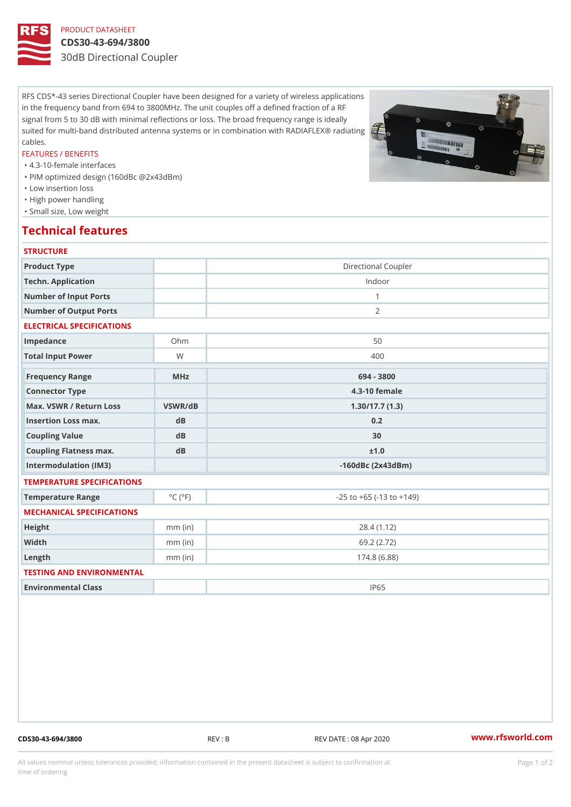# PRODUCT DATASHEET

#### CDS30-43-694/3800

30dB Directional Coupler

RFS CDS\*-43 series Directional Coupler have been designed for a variety of wireless applications in the frequency band from 694 to 3800MHz. The unit couples off a defined fraction of a RF signal from 5 to 30 dB with minimal reflections or loss. The broad frequency range is ideally suited for multi-band distributed antenna systems or in combination with RADIAFLEX® radiating cables.

#### FEATURES / BENEFITS

"4.3-10-female interfaces

- "PIM optimized design (160dBc @2x43dBm)
- "Low insertion loss
- "High power handling
- "Small size, Low weight

### Technical features

| <b>STRUCTURE</b>               |                             |                                    |
|--------------------------------|-----------------------------|------------------------------------|
| Product Type                   |                             | Directional Coupler                |
| Techn. Application             |                             | Indoor                             |
| Number of Input Ports          |                             | $\mathbf{1}$                       |
| Number of Output Ports         |                             | 2                                  |
| ELECTRICAL SPECIFICATIONS      |                             |                                    |
| Impedance                      | $Oh$ m                      | 50                                 |
| Total Input Power              | W                           | 400                                |
| Frequency Range                | MHz                         | 694 - 3800                         |
| Connector Type                 |                             | 4.3-10 female                      |
| Max. VSWR / Return LossVSWR/dB |                             | 1.30/17.7(1.3)                     |
| Insertion Loss max.            | d <sub>B</sub>              | 0.2                                |
| Coupling Value                 | dB                          | 30                                 |
| Coupling Flatness max.         | d B                         | ± 1.0                              |
| Intermodulation (IM3)          |                             | $-160dBc(2x43dBm)$                 |
| TEMPERATURE SPECIFICATIONS     |                             |                                    |
| Temperature Range              | $^{\circ}$ C ( $^{\circ}$ F | $-25$ to $+65$ ( $-13$ to $+149$ ) |
| MECHANICAL SPECIFICATIONS      |                             |                                    |
| Height                         | $mm$ (in)                   | 28.4(1.12)                         |
| Width                          | $mm$ (in)                   | 69.2 (2.72)                        |
| $L$ ength                      | $mm$ (in)                   | 174.8(6.88)                        |
| TESTING AND ENVIRONMENTAL      |                             |                                    |
| Environmental Class            |                             | IP65                               |
|                                |                             |                                    |

CDS30-43-694/3800 REV : B REV DATE : 08 Apr 2020 [www.](https://www.rfsworld.com)rfsworld.com

All values nominal unless tolerances provided; information contained in the present datasheet is subject to Pcapgeign manation time of ordering